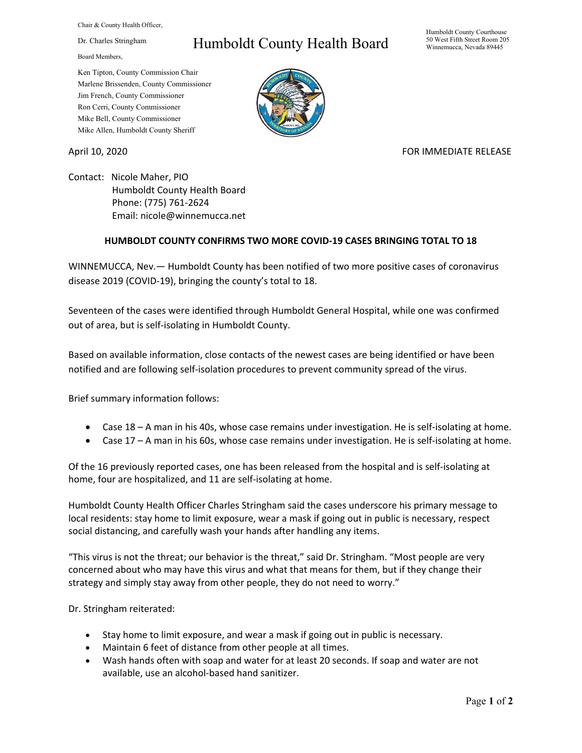Chair & County Health Officer,

Dr. Charles Stringham

Board Members,

## Humboldt County Health Board

Humboldt County Courthouse 50 West Fifth Street Room 205 Winnemucca, Nevada 89445

Ken Tipton, County Commission Chair Marlene Brissenden, County Commissioner Jim French, County Commissioner Ron Cerri, County Commissioner Mike Bell, County Commissioner Mike Allen, Humboldt County Sheriff

April 10, 2020 **FOR IMMEDIATE RELEASE** 

Contact: Nicole Maher, PIO Humboldt County Health Board Phone: (775) 761-2624 Email: nicole@winnemucca.net

## **HUMBOLDT COUNTY CONFIRMS TWO MORE COVID-19 CASES BRINGING TOTAL TO 18**

WINNEMUCCA, Nev.— Humboldt County has been notified of two more positive cases of coronavirus disease 2019 (COVID-19), bringing the county's total to 18.

Seventeen of the cases were identified through Humboldt General Hospital, while one was confirmed out of area, but is self-isolating in Humboldt County.

Based on available information, close contacts of the newest cases are being identified or have been notified and are following self-isolation procedures to prevent community spread of the virus.

Brief summary information follows:

- Case 18 A man in his 40s, whose case remains under investigation. He is self-isolating at home.
- Case 17 A man in his 60s, whose case remains under investigation. He is self-isolating at home.

Of the 16 previously reported cases, one has been released from the hospital and is self-isolating at home, four are hospitalized, and 11 are self-isolating at home.

Humboldt County Health Officer Charles Stringham said the cases underscore his primary message to local residents: stay home to limit exposure, wear a mask if going out in public is necessary, respect social distancing, and carefully wash your hands after handling any items.

"This virus is not the threat; our behavior is the threat," said Dr. Stringham. "Most people are very concerned about who may have this virus and what that means for them, but if they change their strategy and simply stay away from other people, they do not need to worry."

Dr. Stringham reiterated:

- Stay home to limit exposure, and wear a mask if going out in public is necessary.
- Maintain 6 feet of distance from other people at all times.
- Wash hands often with soap and water for at least 20 seconds. If soap and water are not available, use an alcohol-based hand sanitizer.